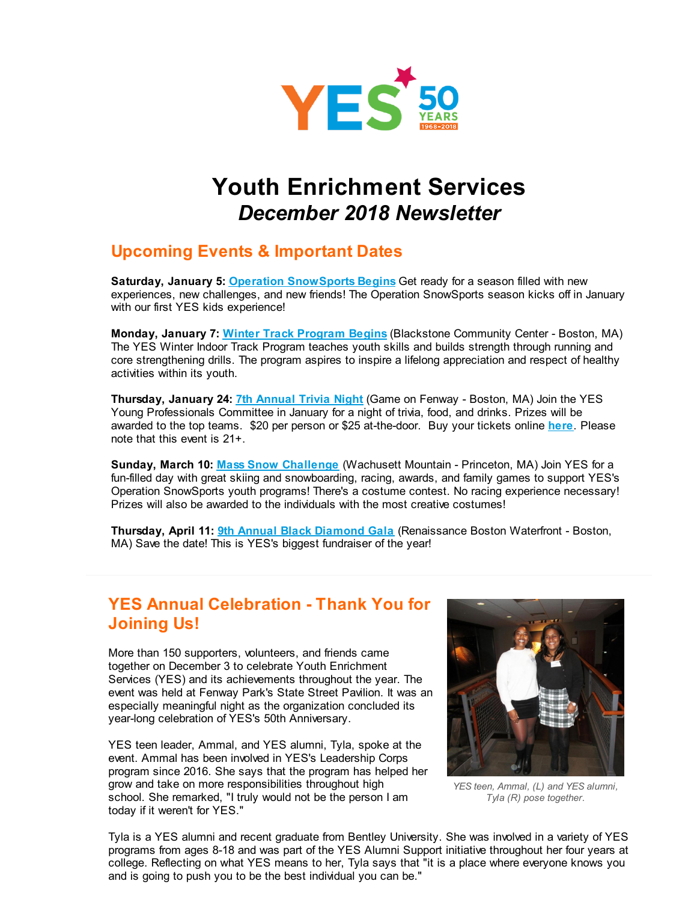

# **Youth Enrichment Services** *December 2018 Newsletter*

### **Upcoming Events & Important Dates**

**Saturday, January 5: Operation [SnowSports](http://r20.rs6.net/tn.jsp?f=001lRTb1ytAKEXqY1mfpeDNpLgi_M_I9dw9bxX_86BeqaKSdARS0qNz7es1z9fvCAZPEbG6ovtxPp7zH0oJWzI7-NnEmeUytsn-Vkg2IMDJo-PufUW6JD43TybS3ac4CEUZ4hGNe5kVm1nh47DUj0RHcTZs-iCwQh6hT7VdPDtU6Ar0Rbim_wfKuQ==&c=&ch=) Begins** Get ready for a season filled with new experiences, new challenges, and new friends! The Operation SnowSports season kicks off in January with our first YES kids experience!

**Monday, January 7: Winter Track [Program](http://r20.rs6.net/tn.jsp?f=001lRTb1ytAKEXqY1mfpeDNpLgi_M_I9dw9bxX_86BeqaKSdARS0qNz7es1z9fvCAZPS5ZRbNPNyoOinVpX8U-fUqUabEJbRqzvGBC8s2PkX_DxmrobrTBcs6-oPyXUNFCffh7lHewpj7f9_se8HiH2dDEhC7pq1_-V7IOUfSBK63dcVFqF-xaKZ6Gz3jNy3C7-&c=&ch=) Begins** (Blackstone Community Center - Boston, MA) The YES Winter Indoor Track Program teaches youth skills and builds strength through running and core strengthening drills. The program aspires to inspire a lifelong appreciation and respect of healthy activities within its youth.

**Thursday, January 24: 7th [Annual](http://r20.rs6.net/tn.jsp?f=001lRTb1ytAKEXqY1mfpeDNpLgi_M_I9dw9bxX_86BeqaKSdARS0qNz7es1z9fvCAZPFYVSLMenxLxRqS4tgubuh526-3cNBqTlYFWxsY0_VH3ed9pXw98hvWCXMwisGbCZNgNY8LDHiQzCwz_Xq1FpI4TgZovbJsGoyscJmHkP1n7Acz2S5u-UmMbiKb4DhP8KGS3RPIZUVFZJZ4vbgXMJlQ==&c=&ch=) Trivia Night** (Game on Fenway - Boston, MA) Join the YES Young Professionals Committee in January for a night of trivia, food, and drinks. Prizes will be awarded to the top teams. \$20 per person or \$25 at-the-door. Buy your tickets online **[here](http://r20.rs6.net/tn.jsp?f=001lRTb1ytAKEXqY1mfpeDNpLgi_M_I9dw9bxX_86BeqaKSdARS0qNz7es1z9fvCAZPlRC2b-DnAWqNIu6_rNGenUa0HABDGuxX6O1yPC2JHOG3g3jRMv9jiaeWh9ts-AwQJYqUWs9oTfLfXDAtdw2_xP43Zcg1q-m23NO_7fRpy8pcP028qq_MY3ZQlT7Ai_wN-SzTX1Tv5lHMf4uIxZ4D2eieP4hlgQ_WeGg7ZiASdMP0MlnY-VDQ_jUQsHoHPE5s&c=&ch=)**. Please note that this event is 21+.

**Sunday, March 10: Mass Snow [Challenge](http://r20.rs6.net/tn.jsp?f=001lRTb1ytAKEXqY1mfpeDNpLgi_M_I9dw9bxX_86BeqaKSdARS0qNz7bbsPNPzj1MBHc43vx5-gipuuHjLJjW_PY3tGHB7rW7fJOHEb1sP3jk5IQ_Eq4ars8tHatL66uvprh_zmwP-wOyQU0mtjt-tFrF4QAW_H3PkdmT8xEhnOy1aHUjTunRtecHOCw-s63ZHrwBAxWqIGAwNVEFYYEU1AeEb1quw_6X5&c=&ch=)** (Wachusett Mountain - Princeton, MA) Join YES for a fun-filled day with great skiing and snowboarding, racing, awards, and family games to support YES's Operation SnowSports youth programs! There's a costume contest. No racing experience necessary! Prizes will also be awarded to the individuals with the most creative costumes!

**Thursday, April 11: 9th Annual Black [Diamond](http://r20.rs6.net/tn.jsp?f=001lRTb1ytAKEXqY1mfpeDNpLgi_M_I9dw9bxX_86BeqaKSdARS0qNz7bbsPNPzj1MBwLSFkA_VqZzBlVmW6qaKLVsA_KspABMDnwrEgPI3h4LtRxJnj8TywCekHn2iiEg7iEb-g_Umr4j8grvlBt121o2zceDmnWgD3xcpjm8Cu66uQX_TCc7JFA==&c=&ch=) Gala** (Renaissance Boston Waterfront - Boston, MA) Save the date! This is YES's biggest fundraiser of the year!

#### **YES Annual Celebration - Thank You for Joining Us!**

More than 150 supporters, volunteers, and friends came together on December 3 to celebrate Youth Enrichment Services (YES) and its achievements throughout the year. The event was held at Fenway Park's State Street Pavilion. It was an especially meaningful night as the organization concluded its year-long celebration of YES's 50th Anniversary.

YES teen leader, Ammal, and YES alumni, Tyla, spoke at the event. Ammal has been involved in YES's Leadership Corps program since 2016. She says that the program has helped her grow and take on more responsibilities throughout high school. She remarked, "I truly would not be the person I am today if it weren't for YES."



*YES teen, Ammal, (L) and YES alumni, Tyla (R) pose together.*

Tyla is a YES alumni and recent graduate from Bentley University. She was involved in a variety of YES programs from ages 8-18 and was part of the YES Alumni Support initiative throughout her four years at college. Reflecting on what YES means to her, Tyla says that "it is a place where everyone knows you and is going to push you to be the best individual you can be."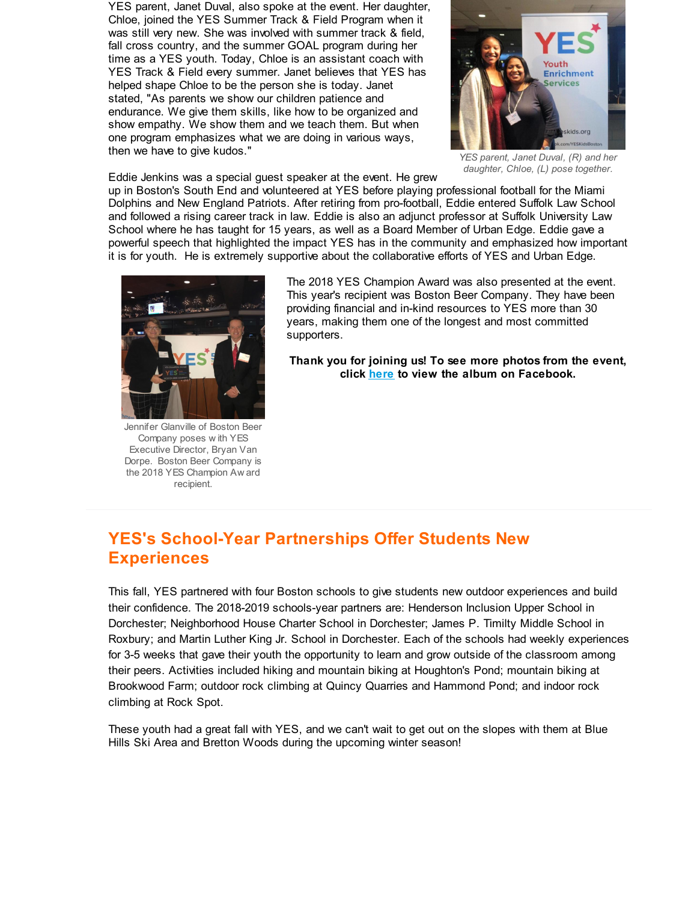YES parent, Janet Duval, also spoke at the event. Her daughter, Chloe, joined the YES Summer Track & Field Program when it was still very new. She was involved with summer track & field, fall cross country, and the summer GOAL program during her time as a YES youth. Today, Chloe is an assistant coach with YES Track & Field every summer. Janet believes that YES has helped shape Chloe to be the person she is today. Janet stated, "As parents we show our children patience and endurance. We give them skills, like how to be organized and show empathy. We show them and we teach them. But when one program emphasizes what we are doing in various ways, then we have to give kudos."



*YES parent, Janet Duval, (R) and her daughter, Chloe, (L) pose together.*

Eddie Jenkins was a special guest speaker at the event. He grew

up in Boston's South End and volunteered at YES before playing professional football for the Miami Dolphins and New England Patriots. After retiring from pro-football, Eddie entered Suffolk Law School and followed a rising career track in law. Eddie is also an adjunct professor at Suffolk University Law School where he has taught for 15 years, as well as a Board Member of Urban Edge. Eddie gave a powerful speech that highlighted the impact YES has in the community and emphasized how important it is for youth. He is extremely supportive about the collaborative efforts of YES and Urban Edge.



Jennifer Glanville of Boston Beer Company poses w ith YES Executive Director, Bryan Van Dorpe. Boston Beer Company is the 2018 YES Champion Aw ard recipient.

The 2018 YES Champion Award was also presented at the event. This year's recipient was Boston Beer Company. They have been providing financial and in-kind resources to YES more than 30 years, making them one of the longest and most committed supporters.

**Thank you for joining us! To see more photos from the event, click [here](http://r20.rs6.net/tn.jsp?f=001lRTb1ytAKEXqY1mfpeDNpLgi_M_I9dw9bxX_86BeqaKSdARS0qNz7bbsPNPzj1MBShrLAo66zqyK4MWwkiKkMgAsnC8bkQwP3-_wWJZcXPxy6F93djKVqUTaQwO7Q4L-BA_Hk7n0G88zTK91tGvnac7UPY5vAYNXfOMwAeN5lXwNT8-PHM7ypKdmYT5uegqRonCboDNCHvKLu0BrMYRORIbn_0WgD4h5KG_ChFCulmYhQ0SB5DIDMjU4F0tfXMw6hB6jiL6tZjyRIVZoGGXyqA==&c=&ch=) to view the album on Facebook.**

## **YES's School-Year Partnerships Offer Students New Experiences**

This fall, YES partnered with four Boston schools to give students new outdoor experiences and build their confidence. The 2018-2019 schools-year partners are: Henderson Inclusion Upper School in Dorchester; Neighborhood House Charter School in Dorchester; James P. Timilty Middle School in Roxbury; and Martin Luther King Jr. School in Dorchester. Each of the schools had weekly experiences for 3-5 weeks that gave their youth the opportunity to learn and grow outside of the classroom among their peers. Activities included hiking and mountain biking at Houghton's Pond; mountain biking at Brookwood Farm; outdoor rock climbing at Quincy Quarries and Hammond Pond; and indoor rock climbing at Rock Spot.

These youth had a great fall with YES, and we can't wait to get out on the slopes with them at Blue Hills Ski Area and Bretton Woods during the upcoming winter season!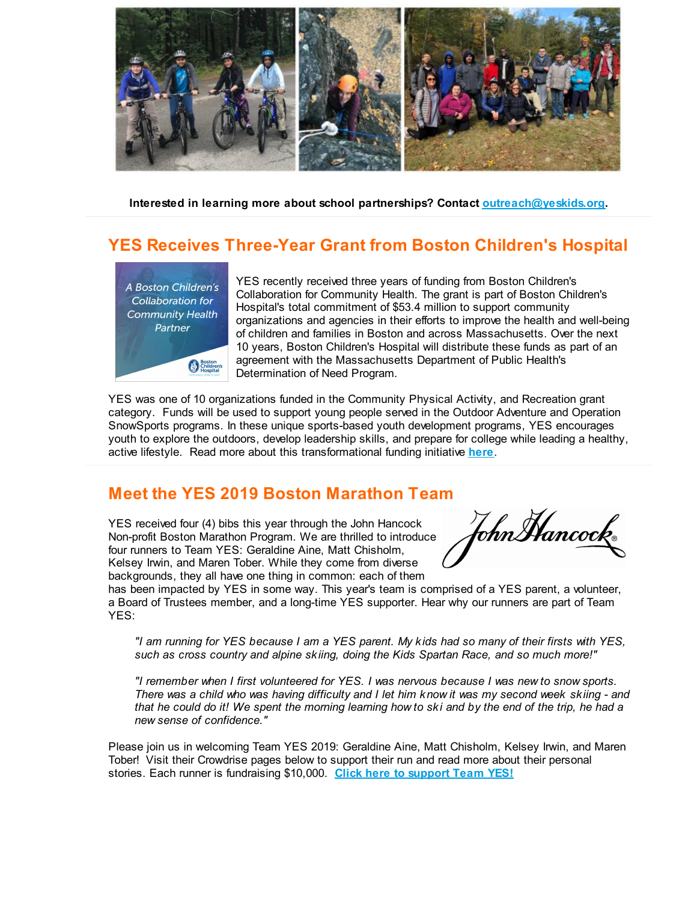

**Interested in learning more about school partnerships? Contact [outreach@yeskids.org](mailto:outreach@yeskids.org).**

## **YES Receives Three-Year Grant from Boston Children's Hospital**



YES recently received three years of funding from Boston Children's Collaboration for Community Health. The grant is part of Boston Children's Hospital's total commitment of \$53.4 million to support community organizations and agencies in their efforts to improve the health and well-being of children and families in Boston and across Massachusetts. Over the next 10 years, Boston Children's Hospital will distribute these funds as part of an agreement with the Massachusetts Department of Public Health's Determination of Need Program.

YES was one of 10 organizations funded in the Community Physical Activity, and Recreation grant category. Funds will be used to support young people served in the Outdoor Adventure and Operation SnowSports programs. In these unique sports-based youth development programs, YES encourages youth to explore the outdoors, develop leadership skills, and prepare for college while leading a healthy, active lifestyle. Read more about this transformational funding initiative **[here](http://r20.rs6.net/tn.jsp?f=001lRTb1ytAKEXqY1mfpeDNpLgi_M_I9dw9bxX_86BeqaKSdARS0qNz7bbsPNPzj1MBWuA8Yi6nP5-EDkmLBA1LZ45axgeV8Y3YwoJSog6Pqn6bsobY2t26ihHUkyi8lCS-3k8Aao8bCjfcibqK1jlBX9lXK5f2yw3-cgLDvkXOv3bYzF1LSS5Fta_354mgWxchxSY5DniYyPACXxItYAovcIWGbDKqm0RBgQK1WOF5rGjLEZi0nI_nGrFSa2WQwYd_XNPMSx62bJe9dHMQjlUdfs4w_1Ixo5hE&c=&ch=)**.

### **Meet the YES 2019 Boston Marathon Team**

YES received four (4) bibs this year through the John Hancock Non-profit Boston Marathon Program. We are thrilled to introduce four runners to Team YES: Geraldine Aine, Matt Chisholm, Kelsey Irwin, and Maren Tober. While they come from diverse backgrounds, they all have one thing in common: each of them

ohnMancock.

has been impacted by YES in some way. This year's team is comprised of a YES parent, a volunteer, a Board of Trustees member, and a long-time YES supporter. Hear why our runners are part of Team YES:

"I am running for YES because I am a YES parent. My kids had so many of their firsts with YES, *such as cross country and alpine skiing, doing the Kids Spartan Race, and so much more!"*

*"I remember when I first volunteered for YES. I was nervous because I was new to snow sports.* There was a child who was having difficulty and I let him know it was my second week skiing - and that he could do it! We spent the morning learning how to ski and by the end of the trip, he had a *new sense of confidence."*

Please join us in welcoming Team YES 2019: Geraldine Aine, Matt Chisholm, Kelsey Irwin, and Maren Tober! Visit their Crowdrise pages below to support their run and read more about their personal stories. Each runner is fundraising \$10,000. **Click here to [support](http://r20.rs6.net/tn.jsp?f=001lRTb1ytAKEXqY1mfpeDNpLgi_M_I9dw9bxX_86BeqaKSdARS0qNz7bbsPNPzj1MB0KyoYA5QJQJllTXIQqXOQGxflDl434rsXFOVO2ODkAXTLmKoGZaFsiMYjLslI_FdrPLR8U_ZmOLcdyf7mXvq6CUDC5QmqGPurgQAp7WgCFZHleePUKxNUp88boy3QiH99WdiCXGKjdWyjaBUC4VK8Q-n7PvwlJqN&c=&ch=) Team YES!**